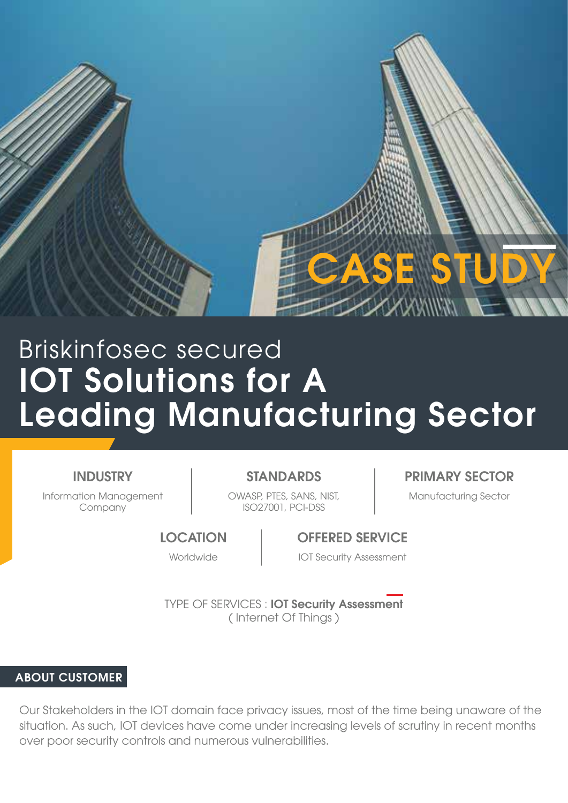

# IOT Solutions for A Leading Manufacturing Sector Briskinfosec secured

# INDUSTRY

Information Management Company

OWASP, PTES, SANS, NIST, Manufacturing Sector ISO27001, PCI-DSS

# STANDARDS **PRIMARY SECTOR**

## **LOCATION**

# OFFERED SERVICE

Worldwide **IOT Security Assessment** 

TYPE OF SERVICES : IOT Security Assessment ( Internet Of Things )

## ABOUT CUSTOMER

Our Stakeholders in the IOT domain face privacy issues, most of the time being unaware of the situation. As such, IOT devices have come under increasing levels of scrutiny in recent months over poor security controls and numerous vulnerabilities.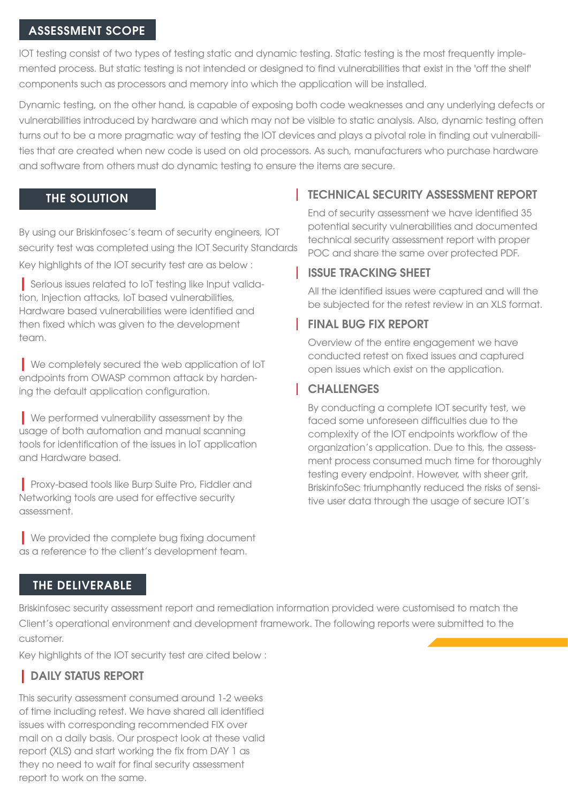## ASSESSMENT SCOPE

IOT testing consist of two types of testing static and dynamic testing. Static testing is the most frequently implemented process. But static testing is not intended or designed to find vulnerabilities that exist in the 'off the shelf' components such as processors and memory into which the application will be installed.

Dynamic testing, on the other hand, is capable of exposing both code weaknesses and any underlying defects or vulnerabilities introduced by hardware and which may not be visible to static analysis. Also, dynamic testing often turns out to be a more pragmatic way of testing the IOT devices and plays a pivotal role in finding out vulnerabilities that are created when new code is used on old processors. As such, manufacturers who purchase hardware and software from others must do dynamic testing to ensure the items are secure.

## THE SOLUTION

By using our Briskinfosec's team of security engineers, IOT security test was completed using the IOT Security Standards Key highlights of the IOT security test are as below :

| Serious issues related to IoT testing like Input validation, Injection attacks, IoT based vulnerabilities, Hardware based vulnerabilities were identified and then fixed which was given to the development team.

| We completely secured the web application of IoT endpoints from OWASP common attack by hardening the default application configuration.

| We performed vulnerability assessment by the usage of both automation and manual scanning tools for identification of the issues in IoT application and Hardware based.

| Proxy-based tools like Burp Suite Pro, Fiddler and Networking tools are used for effective security assessment.

**I** We provided the complete bug fixing document as a reference to the client's development team.

# **TECHNICAL SECURITY ASSESSMENT REPORT**

End of security assessment we have identified 35 potential security vulnerabilities and documented technical security assessment report with proper POC and share the same over protected PDF.

# ISSUE TRACKING SHEET

All the identified issues were captured and will the be subjected for the retest review in an XLS format.

# FINAL BUG FIX REPORT

Overview of the entire engagement we have conducted retest on fixed issues and captured open issues which exist on the application.

# **CHALLENGES**

By conducting a complete IOT security test, we faced some unforeseen difficulties due to the complexity of the IOT endpoints workflow of the organization's application. Due to this, the assessment process consumed much time for thoroughly testing every endpoint. However, with sheer grit, BriskinfoSec triumphantly reduced the risks of sensitive user data through the usage of secure IOT's

## THE DELIVERABLE

Briskinfosec security assessment report and remediation information provided were customised to match the Client's operational environment and development framework. The following reports were submitted to the customer.

Key highlights of the IOT security test are cited below :

# | DAILY STATUS REPORT

This security assessment consumed around 1-2 weeks of time including retest. We have shared all identified issues with corresponding recommended FIX over mail on a daily basis. Our prospect look at these valid report (XLS) and start working the fix from DAY 1 as they no need to wait for final security assessment report to work on the same.